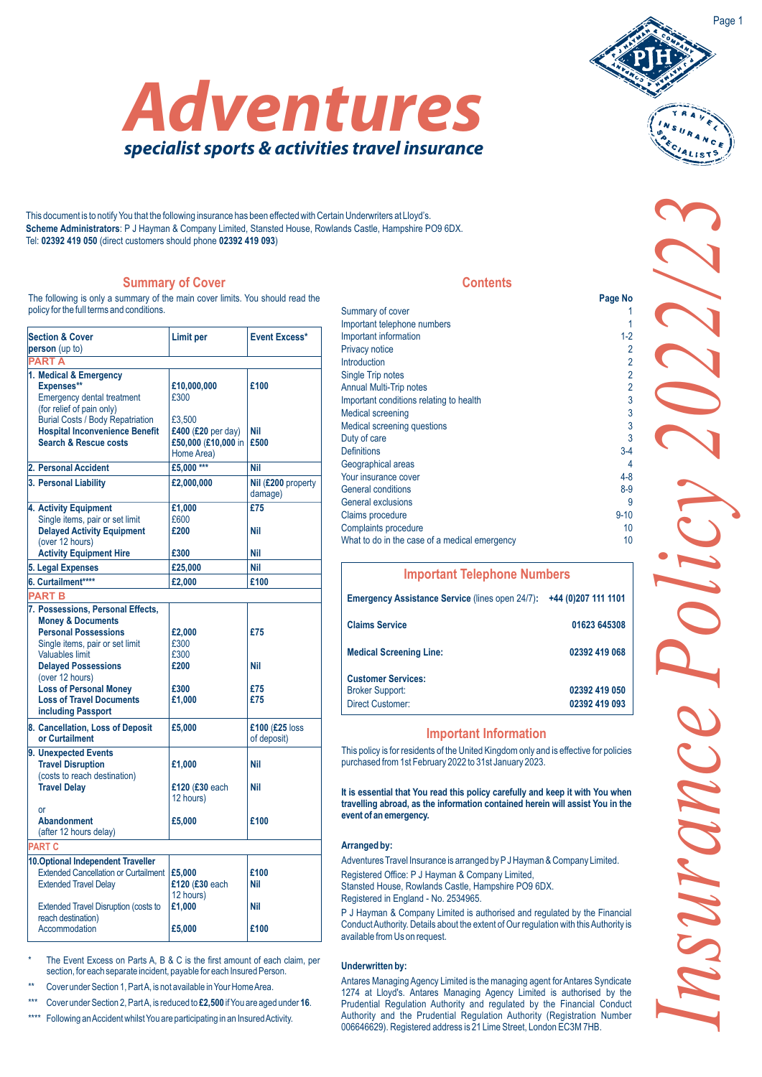This document is to notify You that the following insurance has been effected with Certain Underwriters at Lloyd's. **Scheme Administrators**: P J Hayman & Company Limited, Stansted House, Rowlands Castle, Hampshire PO9 6DX. Tel: **02392 419 050** (direct customers should phone **02392 419 093**)

# **Summary of Cover**

The following is only a summary of the main cover limits. You should read the policy for the full terms and conditions.

| <b>Section &amp; Cover</b><br>person (up to)                                                                                                                                                                                                                                                             | Limit per                                                                                | <b>Event Excess*</b>          |
|----------------------------------------------------------------------------------------------------------------------------------------------------------------------------------------------------------------------------------------------------------------------------------------------------------|------------------------------------------------------------------------------------------|-------------------------------|
| PART A                                                                                                                                                                                                                                                                                                   |                                                                                          |                               |
| 1. Medical & Emergency<br>Expenses**<br><b>Emergency dental treatment</b><br>(for relief of pain only)<br><b>Burial Costs / Body Repatriation</b><br><b>Hospital Inconvenience Benefit</b><br><b>Search &amp; Rescue costs</b>                                                                           | £10,000,000<br>£300<br>£3.500<br>£400 (£20 per day)<br>£50,000 (£10,000 in<br>Home Area) | £100<br>Nil<br>£500           |
| 2. Personal Accident                                                                                                                                                                                                                                                                                     | £5,000 ***                                                                               | Nil                           |
| 3. Personal Liability                                                                                                                                                                                                                                                                                    | £2,000,000                                                                               | Nil (£200 property<br>damage) |
| 4. Activity Equipment<br>Single items, pair or set limit<br><b>Delayed Activity Equipment</b><br>(over 12 hours)<br><b>Activity Equipment Hire</b>                                                                                                                                                       | £1,000<br>£600<br>£200<br>£300                                                           | £75<br>Nil<br>Nil             |
| 5. Legal Expenses                                                                                                                                                                                                                                                                                        | £25,000                                                                                  | <b>Nil</b>                    |
| 6. Curtailment****                                                                                                                                                                                                                                                                                       | £2,000                                                                                   | £100                          |
| <b>PART B</b>                                                                                                                                                                                                                                                                                            |                                                                                          |                               |
| 7. Possessions, Personal Effects,<br><b>Money &amp; Documents</b><br><b>Personal Possessions</b><br>Single items, pair or set limit<br><b>Valuables limit</b><br><b>Delayed Possessions</b><br>(over 12 hours)<br><b>Loss of Personal Money</b><br><b>Loss of Travel Documents</b><br>including Passport | £2,000<br>£300<br>£300<br>£200<br>£300<br>£1,000                                         | £75<br>Nil<br>£75<br>£75      |
| 8. Cancellation, Loss of Deposit<br>or Curtailment                                                                                                                                                                                                                                                       | £5,000                                                                                   | £100 (£25 loss<br>of deposit) |
| 9. Unexpected Events<br><b>Travel Disruption</b><br>(costs to reach destination)<br><b>Travel Delay</b><br>nr                                                                                                                                                                                            | £1,000<br>£120 (£30 each<br>12 hours)                                                    | Nil<br>Nil                    |
| <b>Abandonment</b><br>(after 12 hours delay)                                                                                                                                                                                                                                                             | £5,000                                                                                   | £100                          |
| <b>PART C</b>                                                                                                                                                                                                                                                                                            |                                                                                          |                               |
| 10. Optional Independent Traveller<br><b>Extended Cancellation or Curtailment</b><br><b>Extended Travel Delay</b>                                                                                                                                                                                        | £5,000<br>£120 (£30 each<br>12 hours)                                                    | £100<br>Nil                   |
| <b>Extended Travel Disruption (costs to</b><br>reach destination)<br>Accommodation                                                                                                                                                                                                                       | £1,000<br>£5,000                                                                         | Nil<br>£100                   |
|                                                                                                                                                                                                                                                                                                          |                                                                                          |                               |

The Event Excess on Parts A, B & C is the first amount of each claim, per section, for each separate incident, payable for each Insured Person.

Cover under Section 1, Part A, is not available in Your Home Area.

\*\*\* Cover under Section 2, Part A, is reduced to **£2,500** if You are aged under **16**.

\*\*\*\* Following an Accident whilst You are participating in an Insured Activity.

|                                               | $1.49$ $1.0$   |
|-----------------------------------------------|----------------|
| Summary of cover                              |                |
| Important telephone numbers                   |                |
| Important information                         | $1 - 2$        |
| <b>Privacy notice</b>                         | 2              |
| <b>Introduction</b>                           | 2              |
| Single Trip notes                             | $\overline{a}$ |
| <b>Annual Multi-Trip notes</b>                | $\overline{a}$ |
| Important conditions relating to health       | 3              |
| <b>Medical screening</b>                      | 3              |
| Medical screening questions                   | 3              |
| Duty of care                                  | 3              |
| <b>Definitions</b>                            | $3 - 4$        |
| Geographical areas                            | 4              |
| Your insurance cover                          | $4 - 8$        |
| <b>General conditions</b>                     | $8-9$          |
| <b>General exclusions</b>                     | g              |
| <b>Claims procedure</b>                       | $9 - 10$       |
| Complaints procedure                          | 10             |
| What to do in the case of a medical emergency | 10             |

**Contents**

| <b>Important Telephone Numbers</b>                                             |                                |
|--------------------------------------------------------------------------------|--------------------------------|
| <b>Emergency Assistance Service (lines open 24/7):</b>                         | +44 (0) 207 111 1101           |
| <b>Claims Service</b>                                                          | 01623 645308                   |
| <b>Medical Screening Line:</b>                                                 | 02392 419 068                  |
| <b>Customer Services:</b><br><b>Broker Support:</b><br><b>Direct Customer:</b> | 02392 419 050<br>02392 419 093 |
|                                                                                |                                |

# **Important Information**

This policy is for residents of the United Kingdom only and is effective for policies purchased from 1st February 2022 to 31st January 2023.

**It is essential that You read this policy carefully and keep it with You when travelling abroad, as the information contained herein will assist You in the event of an emergency.**

# **Arranged by:**

Adventures Travel Insurance is arranged by PJ Hayman & Company Limited.

Registered Office: P J Hayman & Company Limited, Stansted House, Rowlands Castle, Hampshire PO9 6DX.

Registered in England - No. 2534965.

P J Hayman & Company Limited is authorised and regulated by the Financial Conduct Authority. Details about the extent of Our regulation with this Authority is available from Us on request.

# **Underwritten by:**

Antares Managing Agency Limited is the managing agent for Antares Syndicate 1274 at Lloyd's. Antares Managing Agency Limited is authorised by the Prudential Regulation Authority and regulated by the Financial Conduct Authority and the Prudential Regulation Authority (Registration Number 006646629). Registered address is 21 Lime Street, London EC3M 7HB.





**Page No**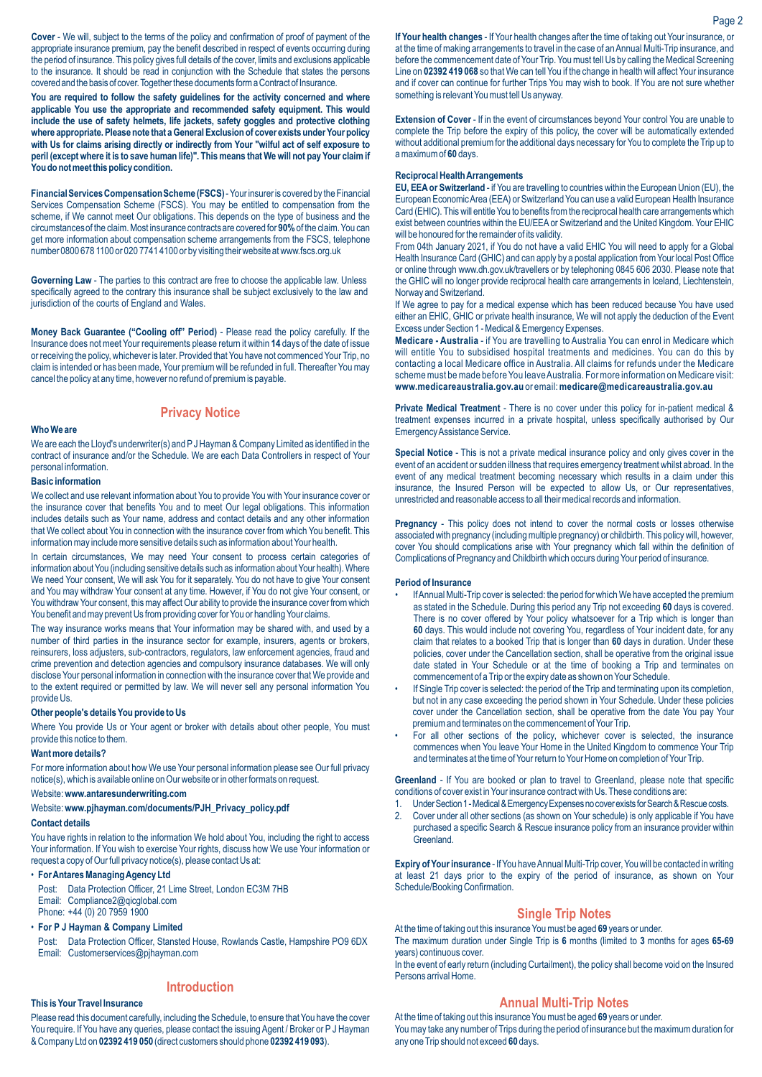**Cover** - We will, subject to the terms of the policy and confirmation of proof of payment of the appropriate insurance premium, pay the benefit described in respect of events occurring during the period of insurance. This policy gives full details of the cover, limits and exclusions applicable to the insurance. It should be read in conjunction with the Schedule that states the persons covered and the basis of cover. Together these documents form a Contract of Insurance.

**You are required to follow the safety guidelines for the activity concerned and where applicable You use the appropriate and recommended safety equipment. This would include the use of safety helmets, life jackets, safety goggles and protective clothing where appropriate.Please note that aGeneralExclusion of cover exists underYour policy with Us for claims arising directly or indirectly from Your "wilful act of self exposure to peril (exceptwhere it is to save human life)". This means that Wewill not pay Your claim if** You do not meet this policy condition.

**Financial Services Compensation Scheme (FSCS)**- Your insurer is covered by the Financial Services Compensation Scheme (FSCS). You may be entitled to compensation from the scheme, if We cannot meet Our obligations. This depends on the type of business and the circumstances of the claim. Most insurance contracts are covered for **90%**of the claim. You can get more information about compensation scheme arrangements from the FSCS, telephone number 0800 678 1100 or 020 7741 4100 or by visiting their website at www.fscs.org.uk

**Governing Law** - The parties to this contract are free to choose the applicable law. Unless specifically agreed to the contrary this insurance shall be subject exclusively to the law and jurisdiction of the courts of England and Wales.

**Money Back Guarantee ("Cooling off" Period)** - Please read the policy carefully. If the Insurance does not meet Your requirements please return it within **14** days of the date of issue or receiving the policy, whichever is later. Provided that You have not commenced Your Trip, no claim is intended or has been made, Your premium will be refunded in full. Thereafter You may cancel the policy at any time, however no refund of premium is payable.

# **Privacy Notice**

#### **Who We are**

We are each the Lloyd's underwriter(s) and PJ Hayman & Company Limited as identified in the contract of insurance and/or the Schedule. We are each Data Controllers in respect of Your personal information.

## **Basic information**

We collect and use relevant information about You to provide You with Your insurance cover or the insurance cover that benefits You and to meet Our legal obligations. This information includes details such as Your name, address and contact details and any other information that We collect about You in connection with the insurance cover from which You benefit. This information may include more sensitive details such as information about Your health.

In certain circumstances, We may need Your consent to process certain categories of information about You (including sensitive details such as information about Your health). Where We need Your consent, We will ask You for it separately. You do not have to give Your consent and You may withdraw Your consent at any time. However, if You do not give Your consent, or You withdraw Your consent, this may affect Our ability to provide the insurance cover from which You benefit and may prevent Us from providing cover for You or handling Your claims.

The way insurance works means that Your information may be shared with, and used by a number of third parties in the insurance sector for example, insurers, agents or brokers, reinsurers, loss adjusters, sub-contractors, regulators, law enforcement agencies, fraud and crime prevention and detection agencies and compulsory insurance databases. We will only disclose Your personal information in connection with the insurance cover that We provide and to the extent required or permitted by law. We will never sell any personal information You provide Us.

### **Other people's details You provide to Us**

Where You provide Us or Your agent or broker with details about other people, You must provide this notice to them.

#### **Want more details?**

For more information about how We use Your personal information please see Our full privacy notice(s), which is available online on Our website or in other formats on request.

## Website:**www.antaresunderwriting.com**

## Website: **www.pjhayman.com/documents/PJH\_Privacy\_policy.pdf**

## **Contact details**

You have rights in relation to the information We hold about You, including the right to access Your information. If You wish to exercise Your rights, discuss how We use Your information or request a copy of Our full privacy notice(s), please contact Us at:

### • **For Antares Managing Agency Ltd**

Post: Data Protection Officer, 21 Lime Street, London EC3M 7HB Email: Compliance2@qicglobal.com Phone: +44 (0) 20 7959 1900

#### • **For P J Hayman & Company Limited**

Post: Data Protection Officer, Stansted House, Rowlands Castle, Hampshire PO9 6DX Email: Customerservices@pjhayman.com

# **Introduction**

#### **This is Your Travel Insurance**

Please read this document carefully, including the Schedule, to ensure that You have the cover You require. If You have any queries, please contact the issuing Agent / Broker or P J Hayman & Company Ltd on **02392 419 050** (direct customers should phone **02392 419 093**).

**If Your health changes** - If Your health changes after the time of taking out Your insurance, or at the time of making arrangements to travel in the case of an Annual Multi-Trip insurance, and before the commencement date of Your Trip. You must tell Us by calling the Medical Screening Line on **02392 419 068** so that We can tell You if the change in health will affect Your insurance and if cover can continue for further Trips You may wish to book. If You are not sure whether something is relevant You must tell Us anyway.

**Extension of Cover** - If in the event of circumstances beyond Your control You are unable to complete the Trip before the expiry of this policy, the cover will be automatically extended without additional premium for the additional days necessary for You to complete the Trip up to a maximum of **60** days.

# **Reciprocal Health Arrangements**

**EU, EEAor Switzerland** - if You are travelling to countries within the European Union (EU), the European Economic Area (EEA) or Switzerland You can use a valid European Health Insurance Card (EHIC). This will entitle You to benefits from the reciprocal health care arrangements which exist between countries within the EU/EEAor Switzerland and the United Kingdom. Your EHIC will be honoured for the remainder of its validity.

From 04th January 2021, if You do not have a valid EHIC You will need to apply for a Global Health Insurance Card (GHIC) and can apply by a postal application from Your local Post Office or online through www.dh.gov.uk/travellers or by telephoning 0845 606 2030. Please note that the GHIC will no longer provide reciprocal health care arrangements in Iceland, Liechtenstein, Norway and Switzerland.

If We agree to pay for a medical expense which has been reduced because You have used either an EHIC, GHIC or private health insurance, We will not apply the deduction of the Event Excess under Section 1 - Medical & Emergency Expenses.

**Medicare - Australia** - if You are travelling to Australia You can enrol in Medicare which will entitle You to subsidised hospital treatments and medicines. You can do this by contacting a local Medicare office in Australia. All claims for refunds under the Medicare scheme must be made before You leave Australia. For more information on Medicare visit: **www.medicareaustralia.gov.au** or email: **medicare@medicareaustralia.gov.au**

**Private Medical Treatment** - There is no cover under this policy for in-patient medical & treatment expenses incurred in a private hospital, unless specifically authorised by Our Emergency Assistance Service.

**Special Notice** - This is not a private medical insurance policy and only gives cover in the event of an accident or sudden illness that requires emergency treatment whilst abroad. In the event of any medical treatment becoming necessary which results in a claim under this insurance, the Insured Person will be expected to allow Us, or Our representatives, unrestricted and reasonable access to all their medical records and information.

**Pregnancy** - This policy does not intend to cover the normal costs or losses otherwise associated with pregnancy (including multiple pregnancy) or childbirth. This policy will, however, cover You should complications arise with Your pregnancy which fall within the definition of Complications of Pregnancy and Childbirth which occurs during Your period of insurance.

#### **Period of Insurance**

- If Annual Multi-Trip cover is selected: the period for which We have accepted the premium as stated in the Schedule. During this period any Trip not exceeding **60** days is covered. There is no cover offered by Your policy whatsoever for a Trip which is longer than **60** days. This would include not covering You, regardless of Your incident date, for any claim that relates to a booked Trip that is longer than **60** days in duration. Under these policies, cover under the Cancellation section, shall be operative from the original issue date stated in Your Schedule or at the time of booking a Trip and terminates on commencement of a Trip or the expiry date as shown on Your Schedule.
- If Single Trip cover is selected: the period of the Trip and terminating upon its completion, but not in any case exceeding the period shown in Your Schedule. Under these policies cover under the Cancellation section, shall be operative from the date You pay Your premium and terminates on the commencement of Your Trip.
- For all other sections of the policy, whichever cover is selected, the insurance commences when You leave Your Home in the United Kingdom to commence Your Trip and terminates at the time of Your return to Your Home on completion of Your Trip.

**Greenland** - If You are booked or plan to travel to Greenland, please note that specific conditions of cover exist in Your insurance contract with Us. These conditions are:

- 1. Under Section 1 Medical & Emergency Expenses no cover exists for Search & Rescue costs.
- 2. Cover under all other sections (as shown on Your schedule) is only applicable if You have purchased a specific Search & Rescue insurance policy from an insurance provider within Greenland.

**Expiry of Your insurance** - If You have Annual Multi-Trip cover, You will be contacted in writing at least 21 days prior to the expiry of the period of insurance, as shown on Your Schedule/Booking Confirmation.

# **Single Trip Notes**

At the time of taking out this insurance You must be aged **69** years or under. The maximum duration under Single Trip is **6** months (limited to **3** months for ages **65-69** years) continuous cover.

In the event of early return (including Curtailment), the policy shall become void on the Insured Persons arrival Home.

# **Annual Multi-Trip Notes**

At the time of taking out this insurance You must be aged **69** years or under. You may take any number of Trips during the period of insurance but the maximum duration for any one Trip should not exceed **60** days.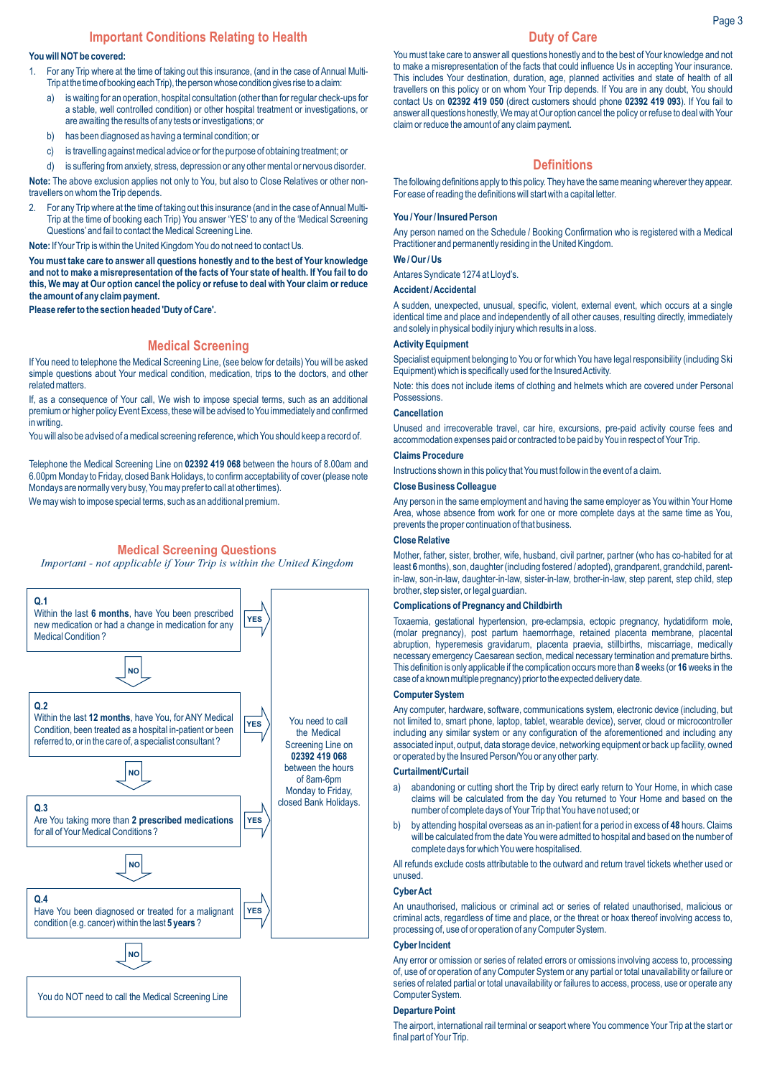# **Important Conditions Relating to Health**

#### **You will NOT be covered:**

- 1. For any Trip where at the time of taking out this insurance, (and in the case of Annual Multi-Trip at the time of booking each Trip), the person whose condition gives rise to a claim:
	- a) is waiting for an operation, hospital consultation (other than for regular check-ups for a stable, well controlled condition) or other hospital treatment or investigations, or are awaiting the results of any tests or investigations; or
	- b) has been diagnosed as having a terminal condition; or
	- c) is travelling against medical advice or for the purpose of obtaining treatment; or
	- d) is suffering from anxiety, stress, depression or any other mental or nervous disorder.

**Note:** The above exclusion applies not only to You, but also to Close Relatives or other nontravellers on whom the Trip depends.

2. For any Trip where at the time of taking out this insurance (and in the case of Annual Multi-Trip at the time of booking each Trip) You answer 'YES' to any of the 'Medical Screening Questions'and fail to contact the Medical Screening Line.

**Note:** If Your Trip is within the United Kingdom You do not need to contact Us.

**You must take care to answer all questions honestly and to the best of Your knowledge and not to make a misrepresentation of the facts of Your state of health. If You fail to do this, We may at Our option cancel the policy or refuse to deal with Your claim or reduce the amount of any claim payment.** 

**Please refer to the section headed 'Duty of Care'.**

# **Medical Screening**

If You need to telephone the Medical Screening Line, (see below for details) You will be asked simple questions about Your medical condition, medication, trips to the doctors, and other related matters.

If, as a consequence of Your call, We wish to impose special terms, such as an additional premium or higher policy Event Excess, these will be advised to You immediately and confirmed in writing.

You will also be advised of a medical screening reference, which You should keep a record of.

Telephone the Medical Screening Line on **02392 419 068** between the hours of 8.00am and 6.00pm Monday to Friday, closed Bank Holidays, to confirm acceptability of cover (please note Mondays are normally very busy, You may prefer to call at other times).

We may wish to impose special terms, such as an additional premium.

# **Medical Screening Questions**

*Important - not applicable if Your Trip is within the United Kingdom*



# **Duty of Care**

You must take care to answer all questions honestly and to the best of Your knowledge and not to make a misrepresentation of the facts that could influence Us in accepting Your insurance. This includes Your destination, duration, age, planned activities and state of health of all travellers on this policy or on whom Your Trip depends. If You are in any doubt, You should contact Us on **02392 419 050** (direct customers should phone **02392 419 093**). If You fail to answer all questions honestly, We may at Our option cancel the policy or refuse to deal with Your claim or reduce the amount of any claim payment.

## **Definitions**

The following definitions apply to this policy. They have the same meaning wherever they appear. For ease of reading the definitions will start with a capital letter.

#### **You / Your / Insured Person**

Any person named on the Schedule / Booking Confirmation who is registered with a Medical Practitioner and permanently residing in the United Kingdom.

# **We / Our / Us**

Antares Syndicate 1274 at Lloyd's.

#### **Accident / Accidental**

A sudden, unexpected, unusual, specific, violent, external event, which occurs at a single identical time and place and independently of all other causes, resulting directly, immediately and solely in physical bodily injury which results in a loss.

#### **Activity Equipment**

Specialist equipment belonging to You or for which You have legal responsibility (including Ski Equipment) which is specifically used for the Insured Activity.

Note: this does not include items of clothing and helmets which are covered under Personal Possessions.

#### **Cancellation**

Unused and irrecoverable travel, car hire, excursions, pre-paid activity course fees and accommodation expenses paid or contracted to be paid by You in respect of Your Trip.

## **Claims Procedure**

Instructions shown in this policy that You must follow in the event of a claim.

# **Close Business Colleague**

Any person in the same employment and having the same employer as You within Your Home Area, whose absence from work for one or more complete days at the same time as You, prevents the proper continuation of that business.

## **Close Relative**

Mother, father, sister, brother, wife, husband, civil partner, partner (who has co-habited for at least **6**months), son, daughter (including fostered / adopted), grandparent, grandchild, parentin-law, son-in-law, daughter-in-law, sister-in-law, brother-in-law, step parent, step child, step brother, step sister, or legal guardian.

#### **Complications of Pregnancy and Childbirth**

Toxaemia, gestational hypertension, pre-eclampsia, ectopic pregnancy, hydatidiform mole, (molar pregnancy), post partum haemorrhage, retained placenta membrane, placental abruption, hyperemesis gravidarum, placenta praevia, stillbirths, miscarriage, medically necessary emergency Caesarean section, medical necessary termination and premature births. This definition is only applicable if the complication occursmore than **8**weeks (or **16**weeks in the case of a known multiple pregnancy) prior to the expected delivery date.

#### **Computer System**

Any computer, hardware, software, communications system, electronic device (including, but not limited to, smart phone, laptop, tablet, wearable device), server, cloud or microcontroller including any similar system or any configuration of the aforementioned and including any associated input, output, data storage device, networking equipment or back up facility, owned or operated by the Insured Person/You or any other party.

#### **Curtailment/Curtail**

- a) abandoning or cutting short the Trip by direct early return to Your Home, in which case claims will be calculated from the day You returned to Your Home and based on the number of complete days of Your Trip that You have not used; or
- b) by attending hospital overseas as an in-patient for a period in excess of **48** hours. Claims will be calculated from the date You were admitted to hospital and based on the number of complete days for which You were hospitalised.

All refunds exclude costs attributable to the outward and return travel tickets whether used or unused.

#### **Cyber Act**

An unauthorised, malicious or criminal act or series of related unauthorised, malicious or criminal acts, regardless of time and place, or the threat or hoax thereof involving access to, processing of, use of or operation of any Computer System.

## **Cyber Incident**

Any error or omission or series of related errors or omissions involving access to, processing of, use of or operation of any Computer System or any partial or total unavailability or failure or series of related partial or total unavailability or failures to access, process, use or operate any Computer System.

# **Departure Point**

The airport, international rail terminal or seaport where You commence Your Trip at the start or final part of Your Trip.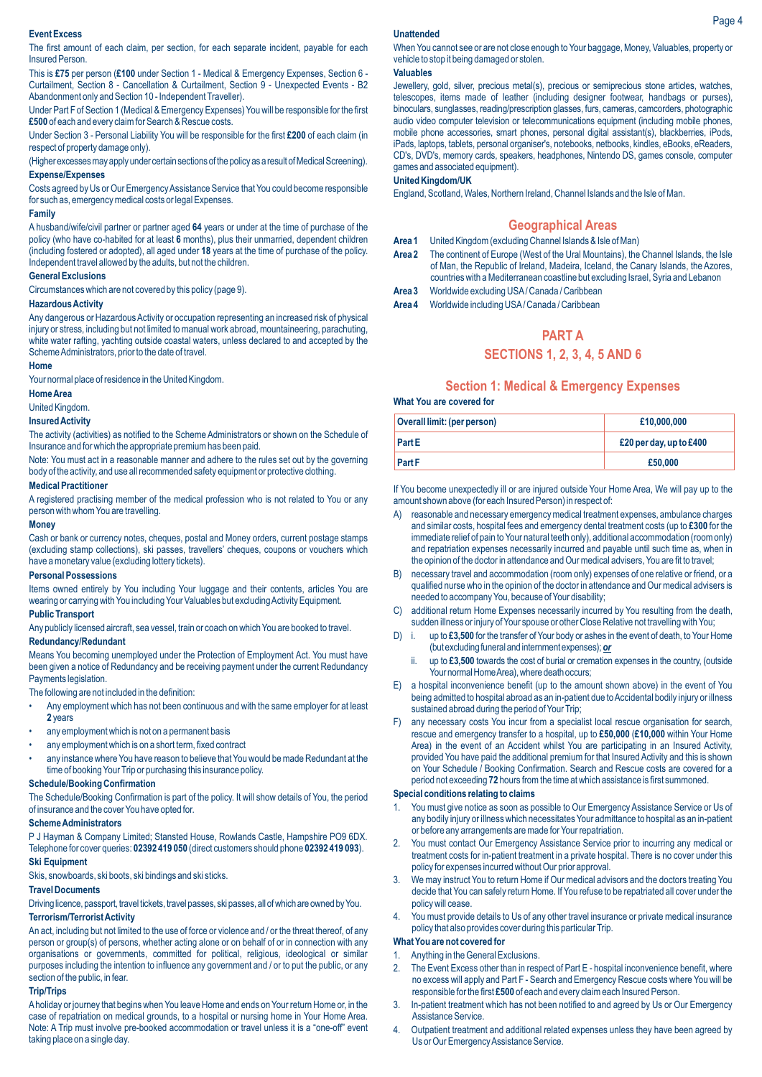### **Event Excess**

The first amount of each claim, per section, for each separate incident, payable for each Insured Person.

This is **£75** per person (**£100** under Section 1 - Medical & Emergency Expenses, Section 6 - Curtailment, Section 8 - Cancellation & Curtailment, Section 9 - Unexpected Events - B2 Abandonment only and Section 10 - Independent Traveller).

Under Part F of Section 1 (Medical & Emergency Expenses) You will be responsible for the first **£500** of each and every claim for Search & Rescue costs.

Under Section 3 - Personal Liability You will be responsible for the first **£200** of each claim (in respect of property damage only).

(Higher excesses may apply under certain sections of the policy as a result of Medical Screening). **Expense/Expenses**

Costs agreed by Us or Our Emergency Assistance Service that You could become responsible for such as, emergency medical costs or legal Expenses.

#### **Family**

A husband/wife/civil partner or partner aged **64** years or under at the time of purchase of the policy (who have co-habited for at least **6** months), plus their unmarried, dependent children (including fostered or adopted), all aged under **18** years at the time of purchase of the policy. Independent travel allowed by the adults, but not the children.

# **General Exclusions**

Circumstances which are not covered by this policy (page 9).

## **Hazardous Activity**

Any dangerous or Hazardous Activity or occupation representing an increased risk of physical injury or stress, including but not limited to manual work abroad, mountaineering, parachuting, white water rafting, yachting outside coastal waters, unless declared to and accepted by the Scheme Administrators, prior to the date of travel.

## **Home**

Your normal place of residence in the United Kingdom.

#### **Home Area**

United Kingdom.

# **Insured Activity**

The activity (activities) as notified to the Scheme Administrators or shown on the Schedule of Insurance and for which the appropriate premium has been paid.

Note: You must act in a reasonable manner and adhere to the rules set out by the governing body of the activity, and use all recommended safety equipment or protective clothing.

# **Medical Practitioner**

A registered practising member of the medical profession who is not related to You or any person with whom You are travelling.

# **Money**

Cash or bank or currency notes, cheques, postal and Money orders, current postage stamps (excluding stamp collections), ski passes, travellers' cheques, coupons or vouchers which have a monetary value (excluding lottery tickets).

#### **Personal Possessions**

Items owned entirely by You including Your luggage and their contents, articles You are wearing or carrying with You including Your Valuables but excluding Activity Equipment.

# **Public Transport**

Any publicly licensed aircraft, sea vessel, train or coach on which You are booked to travel. **Redundancy/Redundant**

Means You becoming unemployed under the Protection of Employment Act. You must have been given a notice of Redundancy and be receiving payment under the current Redundancy Payments legislation.

The following are not included in the definition:

- Any employment which has not been continuous and with the same employer for at least **2** years
- any employment which is not on a permanent basis
- any employment which is on a short term, fixed contract
- any instance where You have reason to believe that You would be made Redundant at the time of booking Your Trip or purchasing this insurance policy.

#### **Schedule/Booking Confirmation**

The Schedule/Booking Confirmation is part of the policy. It will show details of You, the period of insurance and the cover You have opted for.

#### **Scheme Administrators**

P J Hayman & Company Limited; Stansted House, Rowlands Castle, Hampshire PO9 6DX. Telephone for cover queries: **02392 419 050** (direct customers should phone **02392 419 093**).

# **Ski Equipment**

Skis, snowboards, ski boots, ski bindings and ski sticks.

#### **Travel Documents**

Driving licence, passport, travel tickets, travel passes, ski passes, all of which are owned by You. **Terrorism/Terrorist Activity**

An act, including but not limited to the use of force or violence and / or the threat thereof, of any person or group(s) of persons, whether acting alone or on behalf of or in connection with any organisations or governments, committed for political, religious, ideological or similar purposes including the intention to influence any government and / or to put the public, or any section of the public, in fear.

#### **Trip/Trips**

Aholiday or journey that begins when You leave Home and ends on Your return Home or, in the case of repatriation on medical grounds, to a hospital or nursing home in Your Home Area. Note: A Trip must involve pre-booked accommodation or travel unless it is a "one-off" event taking place on a single day.

#### **Unattended**

When You cannot see or are not close enough to Your baggage, Money, Valuables, property or vehicle to stop it being damaged or stolen.

# **Valuables**

Jewellery, gold, silver, precious metal(s), precious or semiprecious stone articles, watches, telescopes, items made of leather (including designer footwear, handbags or purses), binoculars, sunglasses, reading/prescription glasses, furs, cameras, camcorders, photographic audio video computer television or telecommunications equipment (including mobile phones, mobile phone accessories, smart phones, personal digital assistant(s), blackberries, iPods, iPads, laptops, tablets, personal organiser's, notebooks, netbooks, kindles, eBooks, eReaders, CD's, DVD's, memory cards, speakers, headphones, Nintendo DS, games console, computer games and associated equipment).

# **United Kingdom/UK**

England, Scotland, Wales, Northern Ireland, Channel Islands and the Isle of Man.

#### **Geographical Areas**

- **Area 1** United Kingdom (excluding Channel Islands & Isle of Man)
- **Area 2** The continent of Europe (West of the Ural Mountains), the Channel Islands, the Isle of Man, the Republic of Ireland, Madeira, Iceland, the Canary Islands, the Azores, countries with a Mediterranean coastline but excluding Israel, Syria and Lebanon
- **Area 3** Worldwide excluding USA/ Canada / Caribbean
- **Area 4** Worldwide including USA/ Canada / Caribbean

# **PART A**

# **SECTIONS 1, 2, 3, 4, 5 AND 6**

# **Section 1: Medical & Emergency Expenses**

## **What You are covered for**

| Overall limit: (per person) | £10,000,000               |
|-----------------------------|---------------------------|
| <b>Part E</b>               | £20 per day, up to $£400$ |
| <b>Part F</b>               | £50,000                   |

If You become unexpectedly ill or are injured outside Your Home Area, We will pay up to the amount shown above (for each Insured Person) in respect of:

- A) reasonable and necessary emergency medical treatment expenses, ambulance charges and similar costs, hospital fees and emergency dental treatment costs (up to **£300** for the immediate relief of pain to Your natural teeth only), additional accommodation (room only) and repatriation expenses necessarily incurred and payable until such time as, when in the opinion of the doctor in attendance and Our medical advisers, You are fit to travel;
- B) necessary travel and accommodation (room only) expenses of one relative or friend, or a qualified nurse who in the opinion of the doctor in attendance and Our medical advisers is needed to accompany You, because of Your disability;
- additional return Home Expenses necessarily incurred by You resulting from the death, sudden illness or injury of Your spouse or other Close Relative not travelling with You;
- D) i. up to **£3,500** for the transfer of Your body or ashes in the event of death, to Your Home (butexcludingfuneral andinternmentexpenses);*or*
	- ii. up to **£3,500** towards the cost of burial or cremation expenses in the country, (outside Your normal Home Area), where death occurs;
- E) a hospital inconvenience benefit (up to the amount shown above) in the event of You being admitted to hospital abroad as an in-patient due to Accidental bodily injury or illness sustained abroad during the period of Your Trip;
- F) any necessary costs You incur from a specialist local rescue organisation for search, rescue and emergency transfer to a hospital, up to **£50,000** (**£10,000** within Your Home Area) in the event of an Accident whilst You are participating in an Insured Activity, provided You have paid the additional premium for that Insured Activity and this is shown on Your Schedule / Booking Confirmation. Search and Rescue costs are covered for a period not exceeding **72** hours from the time at which assistance is first summoned.

#### **Special conditions relating to claims**

- 1. You must give notice as soon as possible to Our Emergency Assistance Service or Us of any bodily injury or illness which necessitates Your admittance to hospital as an in-patient or before any arrangements are made for Your repatriation.
- 2. You must contact Our Emergency Assistance Service prior to incurring any medical or treatment costs for in-patient treatment in a private hospital. There is no cover under this policy for expenses incurred without Our prior approval.
- We may instruct You to return Home if Our medical advisors and the doctors treating You decide that You can safely return Home. If You refuse to be repatriated all cover under the policy will cease.
- 4. You must provide details to Us of any other travel insurance or private medical insurance policy that also provides cover during this particular Trip.

#### **What You are not covered for**

#### 1. Anything in the General Exclusions.

- 2. The Event Excess other than in respect of Part E hospital inconvenience benefit, where no excess will apply and Part F - Search and Emergency Rescue costs where You will be responsible for the first **£500** of each and every claim each Insured Person.
- 3. In-patient treatment which has not been notified to and agreed by Us or Our Emergency Assistance Service.
- 4. Outpatient treatment and additional related expenses unless they have been agreed by Us or Our Emergency Assistance Service.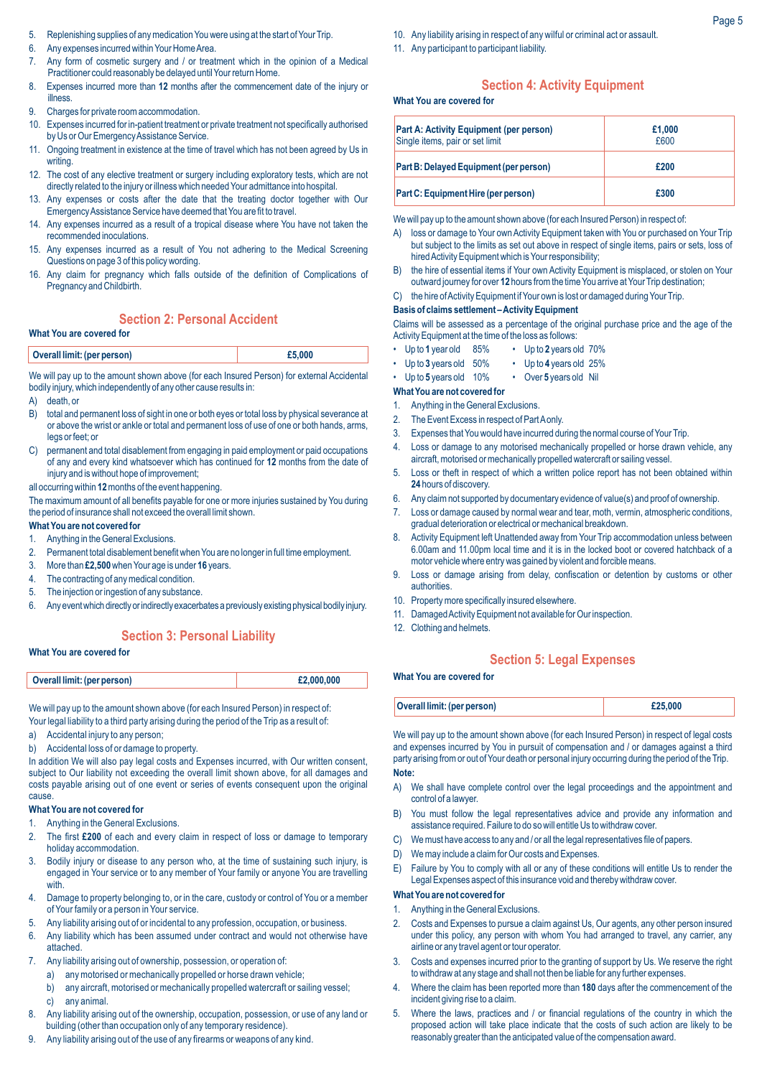- 5. Replenishing supplies of any medication You were using at the start of Your Trip.
- 6. Any expenses incurred within Your Home Area.
- 7. Any form of cosmetic surgery and / or treatment which in the opinion of a Medical Practitioner could reasonably be delayed until Your return Home.
- 8. Expenses incurred more than **12** months after the commencement date of the injury or illness.
- 9. Charges for private room accommodation.
- 10. Expenses incurred for in-patient treatment or private treatment not specifically authorised by Us or Our Emergency Assistance Service.
- 11. Ongoing treatment in existence at the time of travel which has not been agreed by Us in writing.
- 12. The cost of any elective treatment or surgery including exploratory tests, which are not directly related to the injury or illness which needed Your admittance into hospital.
- 13. Any expenses or costs after the date that the treating doctor together with Our Emergency Assistance Service have deemed that You are fit to travel.
- 14. Any expenses incurred as a result of a tropical disease where You have not taken the recommended inoculations.
- 15. Any expenses incurred as a result of You not adhering to the Medical Screening Questions on page 3 of this policy wording.
- 16. Any claim for pregnancy which falls outside of the definition of Complications of Pregnancy and Childbirth.

# **Section 2: Personal Accident**

# **What You are covered for**

| Overall limit: (per person) | £5,000 |
|-----------------------------|--------|
|-----------------------------|--------|

We will pay up to the amount shown above (for each Insured Person) for external Accidental bodily injury, which independently of any other cause results in:

A) death, or

- B) total and permanent loss of sight in one or both eyes or total loss by physical severance at or above the wrist or ankle or total and permanent loss of use of one or both hands, arms, legs or feet; or
- C) permanent and total disablement from engaging in paid employment or paid occupations of any and every kind whatsoever which has continued for **12** months from the date of injury and is without hope of improvement;
- all occurring within **12**months of the event happening.

The maximum amount of all benefits payable for one or more injuries sustained by You during the period of insurance shall not exceed the overall limit shown.

#### **What You are not covered for**

- 1. Anything in the General Exclusions.
- 2. Permanent total disablement benefit when You are no longer in full time employment.
- 3. More than **£2,500**when Your age is under **16** years.
- The contracting of any medical condition.
- 5. The injection or ingestion of any substance.
- 6. Any event which directly or indirectly exacerbates a previously existing physical bodily injury.

# **Section 3: Personal Liability**

## **What You are covered for**

| Overall limit: (per person) | £2,000,000 |
|-----------------------------|------------|
|                             |            |

We will pay up to the amount shown above (for each Insured Person) in respect of:

Your legal liability to a third party arising during the period of the Trip as a result of:

- a) Accidental injury to any person;
- b) Accidental loss of or damage to property.

In addition We will also pay legal costs and Expenses incurred, with Our written consent, subject to Our liability not exceeding the overall limit shown above, for all damages and costs payable arising out of one event or series of events consequent upon the original cause

#### **What You are not covered for**

- 1. Anything in the General Exclusions.
- 2. The first **£200** of each and every claim in respect of loss or damage to temporary holiday accommodation.
- 3. Bodily injury or disease to any person who, at the time of sustaining such injury, is engaged in Your service or to any member of Your family or anyone You are travelling with.
- 4. Damage to property belonging to, or in the care, custody or control of You or a member of Your family or a person in Your service.
- 5. Any liability arising out of or incidental to any profession, occupation, or business.
- 6. Any liability which has been assumed under contract and would not otherwise have attached.
- 7. Any liability arising out of ownership, possession, or operation of:
- a) any motorised or mechanically propelled or horse drawn vehicle;
- b) any aircraft, motorised or mechanically propelled watercraft or sailing vessel; c) any animal.
- 8. Any liability arising out of the ownership, occupation, possession, or use of any land or building (other than occupation only of any temporary residence).
- 9. Any liability arising out of the use of any firearms or weapons of any kind.
- 10. Any liability arising in respect of any wilful or criminal act or assault.
- 11. Any participant to participant liability.

# **Section 4: Activity Equipment**

## **What You are covered for**

| Part A: Activity Equipment (per person)<br>Single items, pair or set limit | £1.000<br>£600 |
|----------------------------------------------------------------------------|----------------|
| Part B: Delayed Equipment (per person)                                     | £200           |
| Part C: Equipment Hire (per person)                                        | £300           |

We will pay up to the amount shown above (for each Insured Person) in respect of:

- A) loss or damage to Your own Activity Equipment taken with You or purchased on Your Trip but subject to the limits as set out above in respect of single items, pairs or sets, loss of hired Activity Equipment which is Your responsibility;
- B) the hire of essential items if Your own Activity Equipment is misplaced, or stolen on Your outward journey for over **12** hours from the time You arrive at Your Trip destination;
- C) the hire of Activity Equipment if Your own is lost or damaged during Your Trip.

#### **Basis of claims settlement – Activity Equipment**

Claims will be assessed as a percentage of the original purchase price and the age of the Activity Equipment at the time of the loss as follows:

- Up to **1** year old 85% Up to **2** years old 70%
- Up to **3** years old 50% Up to **4** years old 25%
- Up to **5** years old 10% Over **5** years old Nil

#### **What You are not covered for**

- 1. Anything in the General Exclusions.
- 2. The Event Excess in respect of Part Aonly.
- 3. Expenses that You would have incurred during the normal course of Your Trip.
- 4. Loss or damage to any motorised mechanically propelled or horse drawn vehicle, any aircraft, motorised or mechanically propelled watercraft or sailing vessel.
- 5. Loss or theft in respect of which a written police report has not been obtained within **24** hours of discovery.
- 6. Any claim not supported by documentary evidence of value(s) and proof of ownership.
- 7. Loss or damage caused by normal wear and tear, moth, vermin, atmospheric conditions, gradual deterioration or electrical or mechanical breakdown.
- 8. Activity Equipment left Unattended away from Your Trip accommodation unless between 6.00am and 11.00pm local time and it is in the locked boot or covered hatchback of a motor vehicle where entry was gained by violent and forcible means.
- 9. Loss or damage arising from delay, confiscation or detention by customs or other authorities.
- 10. Property more specifically insured elsewhere.
- 11. Damaged Activity Equipment not available for Our inspection.
- 12. Clothing and helmets.

## **Section 5: Legal Expenses**

#### **What You are covered for**

| Overall limit: (per person) | £25,000 |
|-----------------------------|---------|
|-----------------------------|---------|

We will pay up to the amount shown above (for each Insured Person) in respect of legal costs and expenses incurred by You in pursuit of compensation and / or damages against a third party arising from or out of Your death or personal injury occurring during the period of the Trip.

# **Note:**

- A) We shall have complete control over the legal proceedings and the appointment and control of a lawyer.
- B) You must follow the legal representatives advice and provide any information and assistance required. Failure to do so will entitle Us to withdraw cover.
- C) We must have access to any and / or all the legal representatives file of papers.
- D) We may include a claim for Our costs and Expenses.
- E) Failure by You to comply with all or any of these conditions will entitle Us to render the Legal Expenses aspect of this insurance void and thereby withdraw cover.

# **What You are not covered for**

- 1. Anything in the General Exclusions.
- 2. Costs and Expenses to pursue a claim against Us, Our agents, any other person insured under this policy, any person with whom You had arranged to travel, any carrier, any airline or any travel agent or tour operator.
- 3. Costs and expenses incurred prior to the granting of support by Us. We reserve the right to withdraw at any stage and shall not then be liable for any further expenses.
- 4. Where the claim has been reported more than **180** days after the commencement of the incident giving rise to a claim.
- 5. Where the laws, practices and / or financial regulations of the country in which the proposed action will take place indicate that the costs of such action are likely to be reasonably greater than the anticipated value of the compensation award.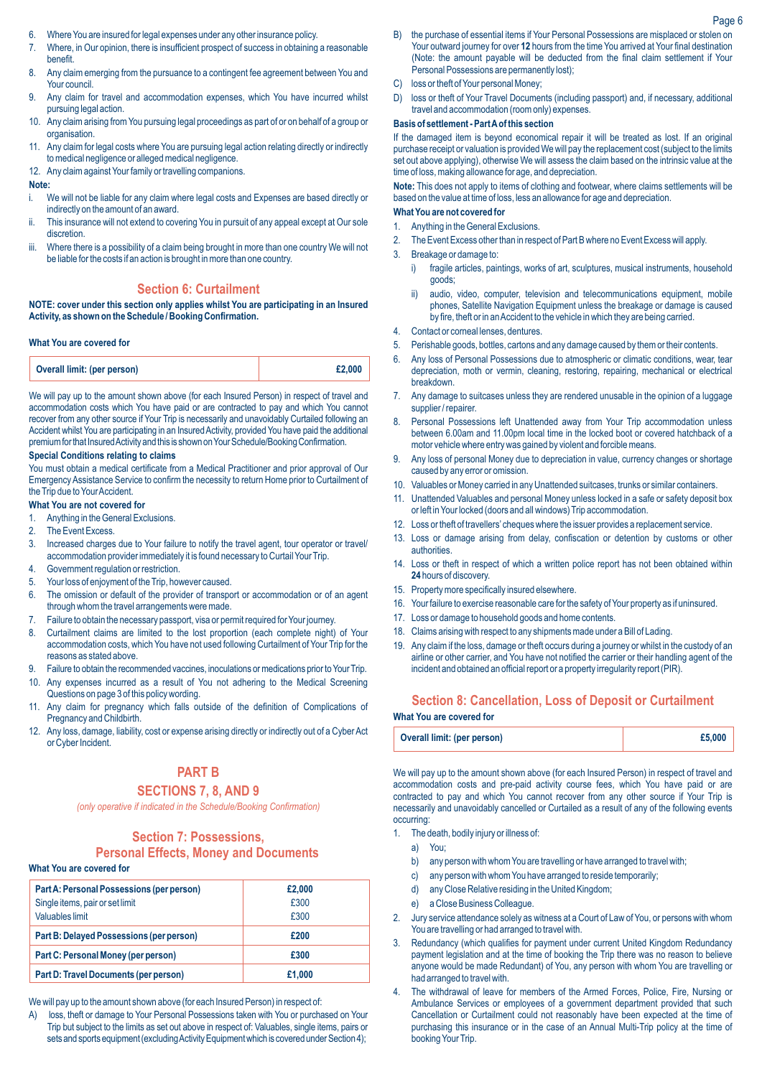- 6. Where You are insured for legal expenses under any other insurance policy.
- 7. Where, in Our opinion, there is insufficient prospect of success in obtaining a reasonable benefit.
- 8. Any claim emerging from the pursuance to a contingent fee agreement between You and Your council.
- 9. Any claim for travel and accommodation expenses, which You have incurred whilst pursuing legal action.
- 10. Any claim arising from You pursuing legal proceedings as part of or on behalf of a group or organisation.
- 11. Any claim for legal costs where You are pursuing legal action relating directly or indirectly to medical negligence or alleged medical negligence.
- 12. Any claim against Your family or travelling companions.

## **Note:**

- i. We will not be liable for any claim where legal costs and Expenses are based directly or indirectly on the amount of an award.
- This insurance will not extend to covering You in pursuit of any appeal except at Our sole discretion.
- iii. Where there is a possibility of a claim being brought in more than one country We will not be liable for the costs if an action is brought in more than one country.

## **Section 6: Curtailment**

**NOTE: cover under this section only applies whilst You are participating in an Insured Activity, as shown on the Schedule / Booking Confirmation.**

### **What You are covered for**

We will pay up to the amount shown above (for each Insured Person) in respect of travel and accommodation costs which You have paid or are contracted to pay and which You cannot recover from any other source if Your Trip is necessarily and unavoidably Curtailed following an Accident whilst You are participating in an Insured Activity, provided You have paid the additional premium for that Insured Activity and this is shown on Your Schedule/Booking Confirmation.

# **Special Conditions relating to claims**

You must obtain a medical certificate from a Medical Practitioner and prior approval of Our Emergency Assistance Service to confirm the necessity to return Home prior to Curtailment of the Trip due to Your Accident.

# **What You are not covered for**

- 1. Anything in the General Exclusions.
- 2. The Event Excess.
- 3. Increased charges due to Your failure to notify the travel agent, tour operator or travel/ accommodation provider immediately it is found necessary to Curtail Your Trip.
- 4. Government regulation or restriction.
- 5. Your loss of enjoyment of the Trip, however caused.
- 6. The omission or default of the provider of transport or accommodation or of an agent through whom the travel arrangements were made.
- 7. Failure to obtain the necessary passport, visa or permit required for Your journey.
- 8. Curtailment claims are limited to the lost proportion (each complete night) of Your accommodation costs, which You have not used following Curtailment of Your Trip for the reasons as stated above.
- 9. Failure to obtain the recommended vaccines, inoculations or medications prior to Your Trip.
- Any expenses incurred as a result of You not adhering to the Medical Screening Questions on page 3 of this policy wording.
- 11. Any claim for pregnancy which falls outside of the definition of Complications of Pregnancy and Childbirth.
- 12. Any loss, damage, liability, cost or expense arising directly or indirectly out of a Cyber Act or Cyber Incident.

# **PART B**

# **SECTIONS 7, 8, AND 9**

*(only operative if indicated in the Schedule/Booking Confirmation)*

# **Section 7: Possessions,**

**Personal Effects, Money and Documents**

#### **What You are covered for**

| Part A: Personal Possessions (per person) | £2,000 |
|-------------------------------------------|--------|
| Single items, pair or set limit           | £300   |
| <b>Valuables limit</b>                    | £300   |
| Part B: Delayed Possessions (per person)  | £200   |
| Part C: Personal Money (per person)       | £300   |
| Part D: Travel Documents (per person)     | £1.000 |

We will pay up to the amount shown above (for each Insured Person) in respect of:

A) loss, theft or damage to Your Personal Possessions taken with You or purchased on Your Trip but subject to the limits as set out above in respect of: Valuables, single items, pairs or sets and sports equipment (excluding Activity Equipment which is covered under Section 4);

- B) the purchase of essential items if Your Personal Possessions are misplaced or stolen on Your outward journey for over **12** hours from the time You arrived at Your final destination (Note: the amount payable will be deducted from the final claim settlement if Your Personal Possessions are permanently lost);
- C) loss or theft of Your personal Money;
- D) loss or theft of Your Travel Documents (including passport) and, if necessary, additional travel and accommodation (room only) expenses.

## **Basis of settlement - Part Aof this section**

If the damaged item is beyond economical repair it will be treated as lost. If an original purchase receipt or valuation is provided We will pay the replacement cost (subject to the limits set out above applying), otherwise We will assess the claim based on the intrinsic value at the time of loss, making allowance for age, and depreciation.

**Note:** This does not apply to items of clothing and footwear, where claims settlements will be based on the value at time of loss, less an allowance for age and depreciation.

# **What You are not covered for**

- 1. Anything in the General Exclusions. 2. The Event Excess other than in respect of Part B where no Event Excess will apply.
- 3. Breakage or damage to:
	- i) fragile articles, paintings, works of art, sculptures, musical instruments, household goods;
	- ii) audio, video, computer, television and telecommunications equipment, mobile phones, Satellite Navigation Equipment unless the breakage or damage is caused by fire, theft or in an Accident to the vehicle in which they are being carried.
- 4. Contact or corneal lenses, dentures.
- 5. Perishable goods, bottles, cartons and any damage caused by them or their contents.
- 6. Any loss of Personal Possessions due to atmospheric or climatic conditions, wear, tear depreciation, moth or vermin, cleaning, restoring, repairing, mechanical or electrical breakdown.
- 7. Any damage to suitcases unless they are rendered unusable in the opinion of a luggage supplier / repairer.
- 8. Personal Possessions left Unattended away from Your Trip accommodation unless between 6.00am and 11.00pm local time in the locked boot or covered hatchback of a motor vehicle where entry was gained by violent and forcible means.
- 9. Any loss of personal Money due to depreciation in value, currency changes or shortage caused by any error or omission.
- 10. Valuables or Money carried in any Unattended suitcases, trunks or similar containers.
- 11. Unattended Valuables and personal Money unless locked in a safe or safety deposit box or left in Your locked (doors and all windows) Trip accommodation.
- 12. Loss or theft of travellers' cheques where the issuer provides a replacement service.
- 13. Loss or damage arising from delay, confiscation or detention by customs or other **authorities**
- 14. Loss or theft in respect of which a written police report has not been obtained within **24** hours of discovery.
- 15. Property more specifically insured elsewhere.
- 16. Your failure to exercise reasonable care for the safety of Your property as if uninsured.
- 17. Loss or damage to household goods and home contents.
- 18. Claims arising with respect to any shipments made under a Bill of Lading.
- 19. Any claim if the loss, damage or theft occurs during a journey or whilst in the custody of an airline or other carrier, and You have not notified the carrier or their handling agent of the incident and obtained an official report or a property irregularity report (PIR).

# **Section 8: Cancellation, Loss of Deposit or Curtailment**

#### **What You are covered for**

| Overall limit: (per person) | £5,000 |
|-----------------------------|--------|
|-----------------------------|--------|

We will pay up to the amount shown above (for each Insured Person) in respect of travel and accommodation costs and pre-paid activity course fees, which You have paid or are contracted to pay and which You cannot recover from any other source if Your Trip is necessarily and unavoidably cancelled or Curtailed as a result of any of the following events occurring:

- 1. The death, bodily injury or illness of:
	- a) You;
	- b) any person with whom You are travelling or have arranged to travel with;
	- c) any person with whom You have arranged to reside temporarily;
	- d) any Close Relative residing in the United Kingdom;
	- e) a Close Business Colleague.
- 2. Jury service attendance solely as witness at a Court of Law of You, or persons with whom You are travelling or had arranged to travel with.
- 3. Redundancy (which qualifies for payment under current United Kingdom Redundancy payment legislation and at the time of booking the Trip there was no reason to believe anyone would be made Redundant) of You, any person with whom You are travelling or had arranged to travel with.
- 4. The withdrawal of leave for members of the Armed Forces, Police, Fire, Nursing or Ambulance Services or employees of a government department provided that such Cancellation or Curtailment could not reasonably have been expected at the time of purchasing this insurance or in the case of an Annual Multi-Trip policy at the time of booking Your Trip.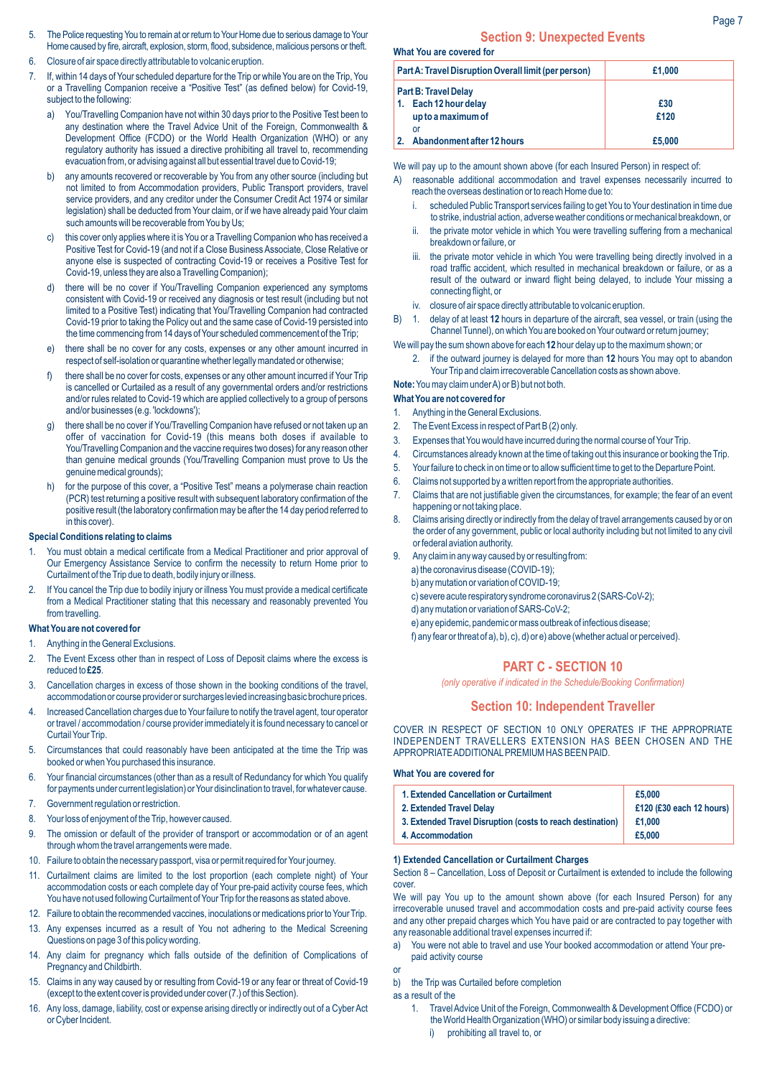- 5. The Police requesting You to remain at or return to Your Home due to serious damage to Your Home caused by fire, aircraft, explosion, storm, flood, subsidence, malicious persons or theft.
- 6. Closure of air space directly attributable to volcanic eruption.
- 7. If, within 14 days of Your scheduled departure for the Trip or while You are on the Trip, You or a Travelling Companion receive a "Positive Test" (as defined below) for Covid-19, subject to the following:
	- a) You/Travelling Companion have not within 30 days prior to the Positive Test been to any destination where the Travel Advice Unit of the Foreign, Commonwealth & Development Office (FCDO) or the World Health Organization (WHO) or any regulatory authority has issued a directive prohibiting all travel to, recommending evacuation from, or advising against all but essential travel due to Covid-19;
	- b) any amounts recovered or recoverable by You from any other source (including but not limited to from Accommodation providers, Public Transport providers, travel service providers, and any creditor under the Consumer Credit Act 1974 or similar legislation) shall be deducted from Your claim, or if we have already paid Your claim such amounts will be recoverable from You by Us;
	- c) this cover only applies where it is You or a Travelling Companion who has received a Positive Test for Covid-19 (and not if a Close Business Associate, Close Relative or anyone else is suspected of contracting Covid-19 or receives a Positive Test for Covid-19, unless they are also a Travelling Companion);
	- d) there will be no cover if You/Travelling Companion experienced any symptoms consistent with Covid-19 or received any diagnosis or test result (including but not limited to a Positive Test) indicating that You/Travelling Companion had contracted Covid-19 prior to taking the Policy out and the same case of Covid-19 persisted into the time commencing from 14 days of Your scheduled commencement of the Trip;
	- e) there shall be no cover for any costs, expenses or any other amount incurred in respect of self-isolation or quarantine whether legally mandated or otherwise;
	- f) there shall be no cover for costs, expenses or any other amount incurred if Your Trip is cancelled or Curtailed as a result of any governmental orders and/or restrictions and/or rules related to Covid-19 which are applied collectively to a group of persons and/or businesses (e.g. 'lockdowns');
	- there shall be no cover if You/Travelling Companion have refused or not taken up an offer of vaccination for Covid-19 (this means both doses if available to You/Travelling Companion and the vaccine requires two doses) for any reason other than genuine medical grounds (You/Travelling Companion must prove to Us the genuine medical grounds);
	- h) for the purpose of this cover, a "Positive Test" means a polymerase chain reaction (PCR) test returning a positive result with subsequent laboratory confirmation of the positive result (the laboratory confirmation may be after the 14 day period referred to in this cover).

# **Special Conditions relating to claims**

- 1. You must obtain a medical certificate from a Medical Practitioner and prior approval of Our Emergency Assistance Service to confirm the necessity to return Home prior to Curtailment of the Trip due to death, bodily injury or illness.
- 2. If You cancel the Trip due to bodily injury or illness You must provide a medical certificate from a Medical Practitioner stating that this necessary and reasonably prevented You from travelling.

#### **What You are not covered for**

- 1. Anything in the General Exclusions.
- 2. The Event Excess other than in respect of Loss of Deposit claims where the excess is reduced to **£25**.
- 3. Cancellation charges in excess of those shown in the booking conditions of the travel, accommodation or course provider or surcharges levied increasing basic brochure prices.
- 4. Increased Cancellation charges due to Your failure to notify the travel agent, tour operator or travel / accommodation / course provider immediately it is found necessary to cancel or Curtail Your Trip.
- 5. Circumstances that could reasonably have been anticipated at the time the Trip was booked or when You purchased this insurance.
- 6. Your financial circumstances (other than as a result of Redundancy for which You qualify for payments under current legislation) or Your disinclination to travel, for whatever cause.
- 7. Government regulation or restriction.
- 8. Your loss of enjoyment of the Trip, however caused.
- 9. The omission or default of the provider of transport or accommodation or of an agent through whom the travel arrangements were made.
- 10. Failure to obtain the necessary passport, visa or permit required for Your journey.
- 11. Curtailment claims are limited to the lost proportion (each complete night) of Your accommodation costs or each complete day of Your pre-paid activity course fees, which You have not used following Curtailment of Your Trip for the reasons as stated above.
- 12. Failure to obtain the recommended vaccines, inoculations or medications prior to Your Trip.
- 13. Any expenses incurred as a result of You not adhering to the Medical Screening Questions on page 3 of this policy wording.
- 14. Any claim for pregnancy which falls outside of the definition of Complications of Pregnancy and Childbirth.
- 15. Claims in any way caused by or resulting from Covid-19 or any fear or threat of Covid-19 (except to the extent cover is provided under cover (7.) of this Section).
- 16. Any loss, damage, liability, cost or expense arising directly or indirectly out of a Cyber Act or Cyber Incident.

## **Section 9: Unexpected Events**

**What You are covered for**

| Part A: Travel Disruption Overall limit (per person) | £1,000 |
|------------------------------------------------------|--------|
| <b>Part B: Travel Delay</b>                          |        |
| 1. Each 12 hour delay                                | £30    |
| up to a maximum of                                   | £120   |
| or                                                   |        |
| Abandonment after 12 hours<br>2.                     | £5,000 |

We will pay up to the amount shown above (for each Insured Person) in respect of:

- A) reasonable additional accommodation and travel expenses necessarily incurred to reach the overseas destination or to reach Home due to:
	- i. scheduled Public Transport services failing to get You to Your destination in time due to strike, industrial action, adverse weather conditions or mechanical breakdown, or
	- ii. the private motor vehicle in which You were travelling suffering from a mechanical breakdown or failure, or
	- iii. the private motor vehicle in which You were travelling being directly involved in a road traffic accident, which resulted in mechanical breakdown or failure, or as a result of the outward or inward flight being delayed, to include Your missing a connecting flight, or
	- iv. closure of air space directly attributable to volcanic eruption.
- B) 1. delay of at least **12** hours in departure of the aircraft, sea vessel, or train (using the Channel Tunnel), on which You are booked on Your outward or return journey;

We will pay the sum shown above for each **12** hour delay up to the maximum shown; or

2. if the outward journey is delayed for more than **12** hours You may opt to abandon Your Trip and claim irrecoverable Cancellation costs as shown above.

#### **Note:**You may claim under A) or B) but not both. **What You are not covered for**

- 1. Anything in the General Exclusions.
- 
- 2. The Event Excess in respect of Part B (2) only.
- 3. Expenses that You would have incurred during the normal course of Your Trip.
- 4. Circumstances already known at the time of taking out this insurance or booking the Trip.
- 5. Your failure to check in on time or to allow sufficient time to get to the Departure Point.
- 6. Claims not supported by a written report from the appropriate authorities.
- 7. Claims that are not justifiable given the circumstances, for example; the fear of an event happening or not taking place.
- 8. Claims arising directly or indirectly from the delay of travel arrangements caused by or on the order of any government, public or local authority including but not limited to any civil or federal aviation authority.
- Any claim in any way caused by or resulting from:
	- a) the coronavirus disease (COVID-19);
	- b) any mutation or variation of COVID-19;
	- c) severe acute respiratory syndrome coronavirus 2 (SARS-CoV-2);
	- d) any mutation or variation of SARS-CoV-2;
	- e) any epidemic, pandemic or mass outbreak of infectious disease;
	- f) any fear or threat of a), b), c), d) or e) above (whether actual or perceived).

# **PART C - SECTION 10**

*(only operative if indicated in the Schedule/Booking Confirmation)*

# **Section 10: Independent Traveller**

COVER IN RESPECT OF SECTION 10 ONLY OPERATES IF THE APPROPRIATE INDEPENDENT TRAVELLERS EXTENSION HAS BEEN CHOSEN AND THE APPROPRIATE ADDITIONALPREMIUM HAS BEEN PAID.

#### **What You are covered for**

| 1. Extended Cancellation or Curtailment                    | £5,000                   |
|------------------------------------------------------------|--------------------------|
| 2. Extended Travel Delay                                   | £120 (£30 each 12 hours) |
| 3. Extended Travel Disruption (costs to reach destination) | £1.000                   |
| 4. Accommodation                                           | £5,000                   |
|                                                            |                          |

#### **1) Extended Cancellation or Curtailment Charges**

Section 8 – Cancellation, Loss of Deposit or Curtailment is extended to include the following cover.

We will pay You up to the amount shown above (for each Insured Person) for any irrecoverable unused travel and accommodation costs and pre-paid activity course fees and any other prepaid charges which You have paid or are contracted to pay together with any reasonable additional travel expenses incurred if:

- a) You were not able to travel and use Your booked accommodation or attend Your prepaid activity course
- or
- b) the Trip was Curtailed before completion

as a result of the

- 1. Travel Advice Unit of the Foreign, Commonwealth & Development Office (FCDO) or the World Health Organization (WHO) or similar body issuing a directive:
	- prohibiting all travel to, or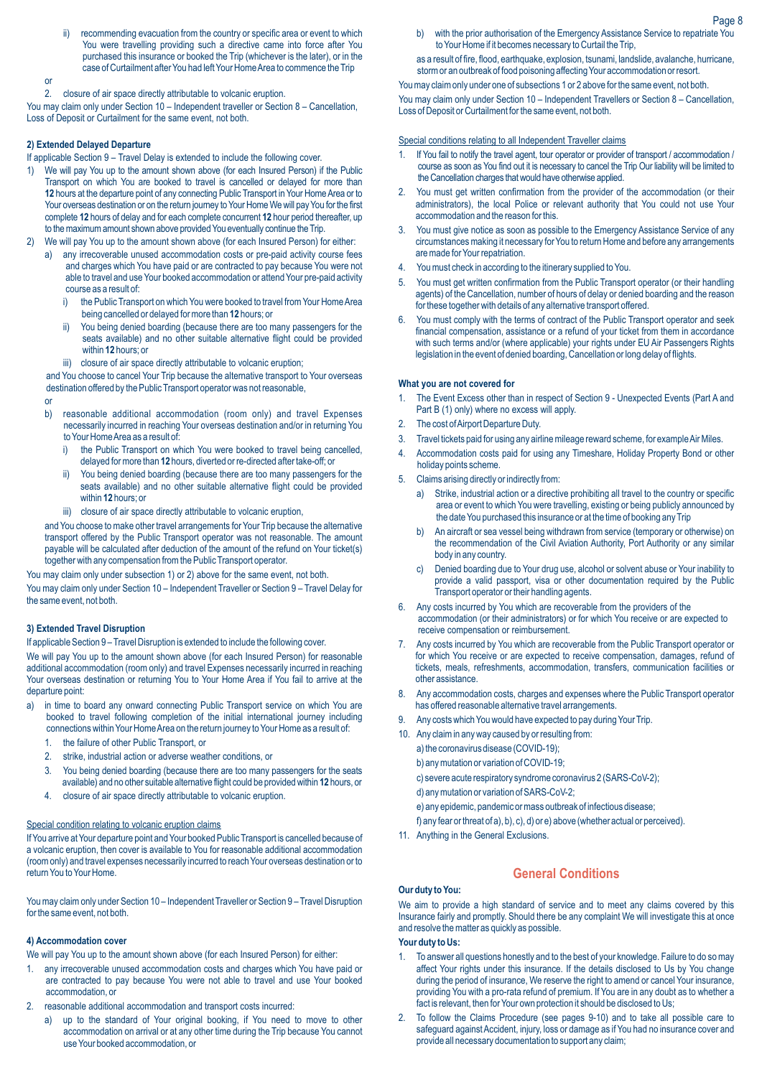ii) recommending evacuation from the country or specific area or event to which You were travelling providing such a directive came into force after You purchased this insurance or booked the Trip (whichever is the later), or in the case of Curtailment after You had left Your Home Area to commence the Trip

#### or

2. closure of air space directly attributable to volcanic eruption.

You may claim only under Section 10 – Independent traveller or Section 8 – Cancellation, Loss of Deposit or Curtailment for the same event, not both.

#### **2) Extended Delayed Departure**

If applicable Section 9 – Travel Delay is extended to include the following cover.

- 1) We will pay You up to the amount shown above (for each Insured Person) if the Public Transport on which You are booked to travel is cancelled or delayed for more than **12** hours at the departure point of any connecting Public Transport in Your Home Area or to Your overseas destination or on the return journey to Your Home We will pay You for the first complete **12** hours of delay and for each complete concurrent **12** hour period thereafter, up to the maximum amount shown above provided You eventually continue the Trip.
- 2) We will pay You up to the amount shown above (for each Insured Person) for either:
	- a) any irrecoverable unused accommodation costs or pre-paid activity course fees and charges which You have paid or are contracted to pay because You were not able to travel and use Your booked accommodation or attend Your pre-paid activity course as a result of:
		- i) the Public Transport on which You were booked to travel from Your Home Area being cancelled or delayed for more than **12** hours; or
		- ii) You being denied boarding (because there are too many passengers for the seats available) and no other suitable alternative flight could be provided within **12** hours; or
		- iii) closure of air space directly attributable to volcanic eruption:

and You choose to cancel Your Trip because the alternative transport to Your overseas destination offered by the Public Transport operator was not reasonable,

#### **o**

- b) reasonable additional accommodation (room only) and travel Expenses necessarily incurred in reaching Your overseas destination and/or in returning You to Your Home Area as a result of:
	- i) the Public Transport on which You were booked to travel being cancelled, delayed for more than **12** hours, diverted or re-directed after take-off; or
	- ii) You being denied boarding (because there are too many passengers for the seats available) and no other suitable alternative flight could be provided within **12** hours; or
	- iii) closure of air space directly attributable to volcanic eruption,

and You choose to make other travel arrangements for Your Trip because the alternative transport offered by the Public Transport operator was not reasonable. The amount payable will be calculated after deduction of the amount of the refund on Your ticket(s) together with any compensation from the Public Transport operator.

You may claim only under subsection 1) or 2) above for the same event, not both. You may claim only under Section 10 – Independent Traveller or Section 9 – Travel Delay for the same event, not both.

## **3) Extended Travel Disruption**

If applicable Section 9 – Travel Disruption is extended to include the following cover. We will pay You up to the amount shown above (for each Insured Person) for reasonable additional accommodation (room only) and travel Expenses necessarily incurred in reaching Your overseas destination or returning You to Your Home Area if You fail to arrive at the departure point:

- a) in time to board any onward connecting Public Transport service on which You are booked to travel following completion of the initial international journey including connections within Your Home Area on the return journey to Your Home as a result of:
	- 1. the failure of other Public Transport, or
	- 2. strike, industrial action or adverse weather conditions, or
	- 3. You being denied boarding (because there are too many passengers for the seats available) and no other suitable alternative flight could be provided within **12** hours, or
	- 4. closure of air space directly attributable to volcanic eruption.

#### Special condition relating to volcanic eruption claims

If You arrive at Your departure point and Your booked Public Transport is cancelled because of a volcanic eruption, then cover is available to You for reasonable additional accommodation (room only) and travel expenses necessarily incurred to reach Your overseas destination or to return You to Your Home.

You may claim only under Section 10 – Independent Traveller or Section 9 – Travel Disruption for the same event, not both.

#### **4) Accommodation cover**

We will pay You up to the amount shown above (for each Insured Person) for either:

- 1. any irrecoverable unused accommodation costs and charges which You have paid or are contracted to pay because You were not able to travel and use Your booked accommodation, or
- 2. reasonable additional accommodation and transport costs incurred:
	- a) up to the standard of Your original booking, if You need to move to other accommodation on arrival or at any other time during the Trip because You cannot use Your booked accommodation, or

b) with the prior authorisation of the Emergency Assistance Service to repatriate You to Your Home if it becomes necessary to Curtail the Trip,

as a result of fire, flood, earthquake, explosion, tsunami, landslide, avalanche, hurricane, storm or an outbreak of food poisoning affecting Your accommodation or resort.

You may claim only under one of subsections 1 or 2 above for the same event, not both.

You may claim only under Section 10 – Independent Travellers or Section 8 – Cancellation, Loss of Deposit or Curtailment for the same event, not both.

#### Special conditions relating to all Independent Traveller claims

- 1. If You fail to notify the travel agent, tour operator or provider of transport / accommodation / course as soon as You find out it is necessary to cancel the Trip Our liability will be limited to the Cancellation charges that would have otherwise applied.
- 2. You must get written confirmation from the provider of the accommodation (or their administrators), the local Police or relevant authority that You could not use Your accommodation and the reason for this.
- 3. You must give notice as soon as possible to the Emergency Assistance Service of any circumstances making it necessary for You to return Home and before any arrangements are made for Your repatriation.
- 4. You must check in according to the itinerary supplied to You.
- 5. You must get written confirmation from the Public Transport operator (or their handling agents) of the Cancellation, number of hours of delay or denied boarding and the reason for these together with details of any alternative transport offered.
- 6. You must comply with the terms of contract of the Public Transport operator and seek financial compensation, assistance or a refund of your ticket from them in accordance with such terms and/or (where applicable) your rights under EU Air Passengers Rights legislation in the event of denied boarding, Cancellation or long delay of flights.

#### **What you are not covered for**

- 1. The Event Excess other than in respect of Section 9 Unexpected Events (Part A and Part B (1) only) where no excess will apply.
- 2. The cost of Airport Departure Duty.
- 3. Travel tickets paid for using any airline mileage reward scheme, for example Air Miles.
- 4. Accommodation costs paid for using any Timeshare, Holiday Property Bond or other holiday points scheme.
- 5. Claims arising directly or indirectly from:
	- a) Strike, industrial action or a directive prohibiting all travel to the country or specific area or event to which You were travelling, existing or being publicly announced by the date You purchased this insurance or at the time of booking any Trip
	- b) An aircraft or sea vessel being withdrawn from service (temporary or otherwise) on the recommendation of the Civil Aviation Authority, Port Authority or any similar body in any country.
	- c) Denied boarding due to Your drug use, alcohol or solvent abuse or Your inability to provide a valid passport, visa or other documentation required by the Public Transport operator or their handling agents.
- 6. Any costs incurred by You which are recoverable from the providers of the accommodation (or their administrators) or for which You receive or are expected to receive compensation or reimbursement.
- 7. Any costs incurred by You which are recoverable from the Public Transport operator or for which You receive or are expected to receive compensation, damages, refund of tickets, meals, refreshments, accommodation, transfers, communication facilities or other assistance.
- 8. Any accommodation costs, charges and expenses where the Public Transport operator has offered reasonable alternative travel arrangements.
- 9. Any costs which You would have expected to pay during Your Trip.
- 10. Any claim in any way caused by or resulting from:
	- a) the coronavirus disease (COVID-19);
		- b) any mutation or variation of COVID-19;
		- c) severe acute respiratory syndrome coronavirus 2 (SARS-CoV-2);
		- d) any mutation or variation of SARS-CoV-2;
	- e) any epidemic, pandemic or mass outbreak of infectious disease;
	- f) any fear or threat of a), b), c), d) or e) above (whether actual or perceived).
- 11. Anything in the General Exclusions.

# **General Conditions**

# **Our duty to You:**

We aim to provide a high standard of service and to meet any claims covered by this Insurance fairly and promptly. Should there be any complaint We will investigate this at once and resolve the matter as quickly as possible.

#### **Your duty to Us:**

- 1. To answer all questions honestly and to the best of your knowledge. Failure to do so may affect Your rights under this insurance. If the details disclosed to Us by You change during the period of insurance, We reserve the right to amend or cancel Your insurance, providing You with a pro-rata refund of premium. If You are in any doubt as to whether a fact is relevant, then for Your own protection it should be disclosed to Us;
- 2. To follow the Claims Procedure (see pages 9-10) and to take all possible care to safeguard against Accident, injury, loss or damage as if You had no insurance cover and provide all necessary documentation to support any claim;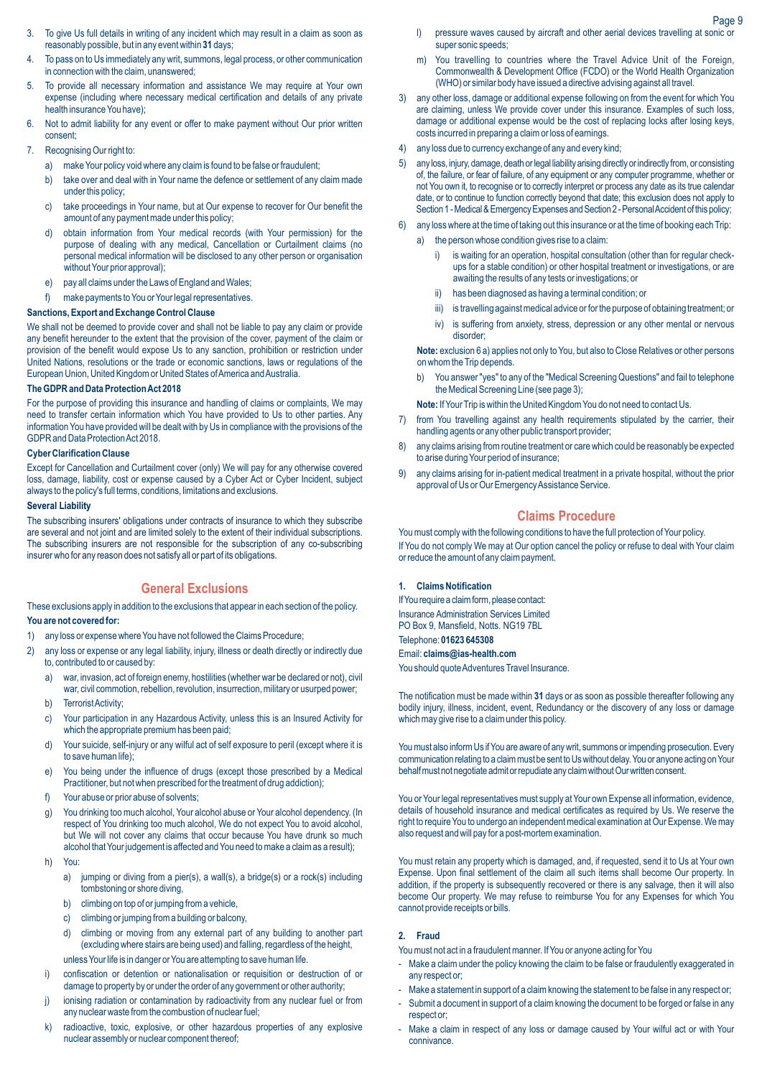- 3. To give Us full details in writing of any incident which may result in a claim as soon as reasonably possible, but in any event within **31** days;
- 4. To pass on to Us immediately any writ, summons, legal process, or other communication in connection with the claim, unanswered;
- 5. To provide all necessary information and assistance We may require at Your own expense (including where necessary medical certification and details of any private health insurance You have);
- 6. Not to admit liability for any event or offer to make payment without Our prior written consent;
- 7. Recognising Our right to:
	- a) make Your policy void where any claim is found to be false or fraudulent;
	- b) take over and deal with in Your name the defence or settlement of any claim made under this policy;
	- c) take proceedings in Your name, but at Our expense to recover for Our benefit the amount of any payment made under this policy;
	- d) obtain information from Your medical records (with Your permission) for the purpose of dealing with any medical, Cancellation or Curtailment claims (no personal medical information will be disclosed to any other person or organisation without Your prior approval);
	- e) pay all claims under the Laws of England and Wales;
	- f) make payments to You or Your legal representatives.

## **Sanctions, Export and Exchange Control Clause**

We shall not be deemed to provide cover and shall not be liable to pay any claim or provide any benefit hereunder to the extent that the provision of the cover, payment of the claim or provision of the benefit would expose Us to any sanction, prohibition or restriction under United Nations, resolutions or the trade or economic sanctions, laws or regulations of the European Union, United Kingdom or United States of America and Australia.

## **The GDPR and Data Protection Act 2018**

For the purpose of providing this insurance and handling of claims or complaints, We may need to transfer certain information which You have provided to Us to other parties. Any information You have provided will be dealt with by Us in compliance with the provisions of the GDPR and Data Protection Act 2018.

## **Cyber Clarification Clause**

Except for Cancellation and Curtailment cover (only) We will pay for any otherwise covered loss, damage, liability, cost or expense caused by a Cyber Act or Cyber Incident, subject always to the policy's full terms, conditions, limitations and exclusions.

#### **Several Liability**

The subscribing insurers' obligations under contracts of insurance to which they subscribe are several and not joint and are limited solely to the extent of their individual subscriptions. The subscribing insurers are not responsible for the subscription of any co-subscribing insurer who for any reason does not satisfy all or part of its obligations.

# **General Exclusions**

These exclusions apply in addition to the exclusions that appear in each section of the policy. **You are not covered for:**

- 1) any loss or expense where You have not followed the Claims Procedure;
- 2) any loss or expense or any legal liability, injury, illness or death directly or indirectly due to, contributed to or caused by:
	- a) war, invasion, act of foreign enemy, hostilities (whether war be declared or not), civil war, civil commotion, rebellion, revolution, insurrection, military or usurped power;
	- b) Terrorist Activity;
	- c) Your participation in any Hazardous Activity, unless this is an Insured Activity for which the appropriate premium has been paid;
	- d) Your suicide, self-injury or any wilful act of self exposure to peril (except where it is to save human life);
	- e) You being under the influence of drugs (except those prescribed by a Medical Practitioner, but not when prescribed for the treatment of drug addiction);
	- f) Your abuse or prior abuse of solvents;
	- g) You drinking too much alcohol, Your alcohol abuse or Your alcohol dependency. (In respect of You drinking too much alcohol, We do not expect You to avoid alcohol, but We will not cover any claims that occur because You have drunk so much alcohol that Your judgement is affected and You need to make a claim as a result);
	- h) You:
		- a) jumping or diving from a pier(s), a wall(s), a bridge(s) or a rock(s) including tombstoning or shore diving,
		- b) climbing on top of or jumping from a vehicle,
		- c) climbing or jumping from a building or balcony,
		- d) climbing or moving from any external part of any building to another part (excluding where stairs are being used) and falling, regardless of the height, unless Your life is in danger or You are attempting to save human life.
	- i) confiscation or detention or nationalisation or requisition or destruction of or damage to property by or under the order of any government or other authority;
	- j) ionising radiation or contamination by radioactivity from any nuclear fuel or from any nuclear waste from the combustion of nuclear fuel;
	- k) radioactive, toxic, explosive, or other hazardous properties of any explosive nuclear assembly or nuclear component thereof;
- l) pressure waves caused by aircraft and other aerial devices travelling at sonic or super sonic speeds;
- m) You travelling to countries where the Travel Advice Unit of the Foreign, Commonwealth & Development Office (FCDO) or the World Health Organization (WHO) or similar body have issued a directive advising against all travel.
- 3) any other loss, damage or additional expense following on from the event for which You are claiming, unless We provide cover under this insurance. Examples of such loss, damage or additional expense would be the cost of replacing locks after losing keys, costs incurred in preparing a claim or loss of earnings.
- 4) any loss due to currency exchange of any and every kind;
- 5) any loss, injury, damage, death orlegal liability arising directly orindirectly from, or consisting of, the failure, or fear of failure, of any equipment or any computer programme, whether or not You own it, to recognise or to correctly interpret or process any date as its true calendar date, or to continue to function correctly beyond that date; this exclusion does not apply to Section 1 - Medical & Emergency Expenses and Section 2 - Personal Accident of this policy;
- any loss where at the time of taking out this insurance or at the time of booking each Trip: a) the person whose condition gives rise to a claim:
- - i) is waiting for an operation, hospital consultation (other than for regular checkups for a stable condition) or other hospital treatment or investigations, or are awaiting the results of any tests or investigations; or
	- ii) has been diagnosed as having a terminal condition; or
	- iii) is travelling against medical advice or for the purpose of obtaining treatment; or
	- iv) is suffering from anxiety, stress, depression or any other mental or nervous disorder;

**Note:** exclusion 6 a) applies not only to You, but also to Close Relatives or other persons on whom the Trip depends.

b) You answer "yes" to any of the "Medical Screening Questions" and fail to telephone the Medical Screening Line (see page 3);

**Note:** If Your Trip is within the United Kingdom You do not need to contact Us.

- 7) from You travelling against any health requirements stipulated by the carrier, their handling agents or any other public transport provider;
- 8) any claims arising from routine treatment or care which could be reasonably be expected to arise during Your period of insurance;
- 9) any claims arising for in-patient medical treatment in a private hospital, without the prior approval of Us or Our Emergency Assistance Service.

## **Claims Procedure**

You must comply with the following conditions to have the full protection of Your policy. If You do not comply We may at Our option cancel the policy or refuse to deal with Your claim or reduce the amount of any claim payment.

## **1. Claims Notification**

If You require a claim form, please contact: Insurance Administration Services Limited PO Box 9, Mansfield, Notts. NG19 7BL Telephone: **01623 645308**

# Email: **claims@ias-health.com**

You should quote Adventures Travel Insurance.

The notification must be made within **31** days or as soon as possible thereafter following any bodily injury, illness, incident, event, Redundancy or the discovery of any loss or damage which may give rise to a claim under this policy.

You must also inform Us if You are aware of any writ, summons or impending prosecution. Every communication relating to a claim must be sent to Us without delay. You or anyone acting on Your behalf must not negotiate admit or repudiate any claim without Our written consent.

You or Your legal representatives must supply at Your own Expense all information, evidence, details of household insurance and medical certificates as required by Us. We reserve the right to require You to undergo an independent medical examination at Our Expense. We may also request and will pay for a post-mortem examination.

You must retain any property which is damaged, and, if requested, send it to Us at Your own Expense. Upon final settlement of the claim all such items shall become Our property. In addition, if the property is subsequently recovered or there is any salvage, then it will also become Our property. We may refuse to reimburse You for any Expenses for which You cannot provide receipts or bills.

#### **2. Fraud**

You must not act in a fraudulent manner. If You or anyone acting for You

- Make a claim under the policy knowing the claim to be false or fraudulently exaggerated in any respect or;
- Make a statement in support of a claim knowing the statement to be false in any respect or;
- Submit a document in support of a claim knowing the document to be forged or false in any respect or;
- Make a claim in respect of any loss or damage caused by Your wilful act or with Your connivance.